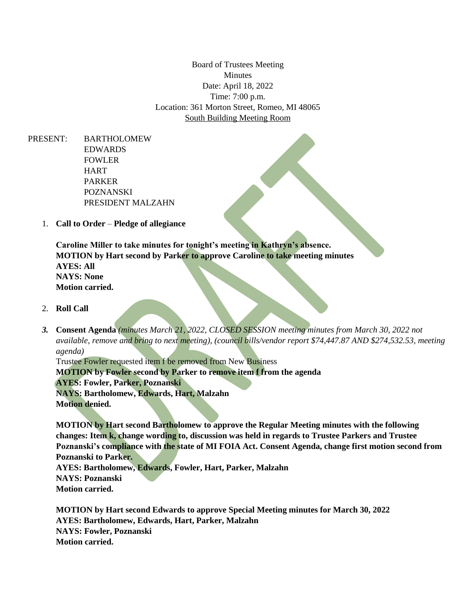Board of Trustees Meeting Minutes Date: April 18, 2022 Time: 7:00 p.m. Location: 361 Morton Street, Romeo, MI 48065 South Building Meeting Room

PRESENT: BARTHOLOMEW EDWARDS FOWLER **HART** PARKER POZNANSKI PRESIDENT MALZAHN

1. **Call to Order** – **Pledge of allegiance**

**Caroline Miller to take minutes for tonight's meeting in Kathryn's absence. MOTION by Hart second by Parker to approve Caroline to take meeting minutes AYES: All NAYS: None Motion carried.**

- 2. **Roll Call**
- *3.* **Consent Agenda** *(minutes March 21, 2022, CLOSED SESSION meeting minutes from March 30, 2022 not available, remove and bring to next meeting), (council bills/vendor report \$74,447.87 AND \$274,532.53, meeting agenda)*

Trustee Fowler requested item f be removed from New Business **MOTION by Fowler second by Parker to remove item f from the agenda AYES: Fowler, Parker, Poznanski NAYS: Bartholomew, Edwards, Hart, Malzahn Motion denied.**

**MOTION by Hart second Bartholomew to approve the Regular Meeting minutes with the following changes: Item k, change wording to, discussion was held in regards to Trustee Parkers and Trustee Poznanski's compliance with the state of MI FOIA Act. Consent Agenda, change first motion second from Poznanski to Parker. AYES: Bartholomew, Edwards, Fowler, Hart, Parker, Malzahn NAYS: Poznanski**

**Motion carried.**

**MOTION by Hart second Edwards to approve Special Meeting minutes for March 30, 2022 AYES: Bartholomew, Edwards, Hart, Parker, Malzahn NAYS: Fowler, Poznanski Motion carried.**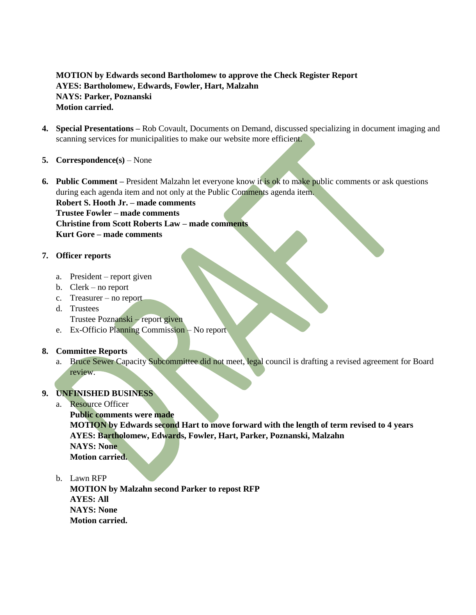# **MOTION by Edwards second Bartholomew to approve the Check Register Report AYES: Bartholomew, Edwards, Fowler, Hart, Malzahn NAYS: Parker, Poznanski Motion carried.**

- **4. Special Presentations –** Rob Covault, Documents on Demand, discussed specializing in document imaging and scanning services for municipalities to make our website more efficient.
- **5. Correspondence(s)**  None
- **6. Public Comment –** President Malzahn let everyone know it is ok to make public comments or ask questions during each agenda item and not only at the Public Comments agenda item.

**Robert S. Hooth Jr. – made comments Trustee Fowler – made comments Christine from Scott Roberts Law – made comments Kurt Gore – made comments**

## **7. Officer reports**

- a. President report given
- b. Clerk no report
- c. Treasurer no report
- d. Trustees
	- Trustee Poznanski report given
- e. Ex-Officio Planning Commission No report

### **8. Committee Reports**

a. Bruce Sewer Capacity Subcommittee did not meet, legal council is drafting a revised agreement for Board review.

### **9. UNFINISHED BUSINESS**

a. Resource Officer

**Public comments were made MOTION by Edwards second Hart to move forward with the length of term revised to 4 years AYES: Bartholomew, Edwards, Fowler, Hart, Parker, Poznanski, Malzahn NAYS: None Motion carried.**

b. Lawn RFP

**MOTION by Malzahn second Parker to repost RFP AYES: All NAYS: None Motion carried.**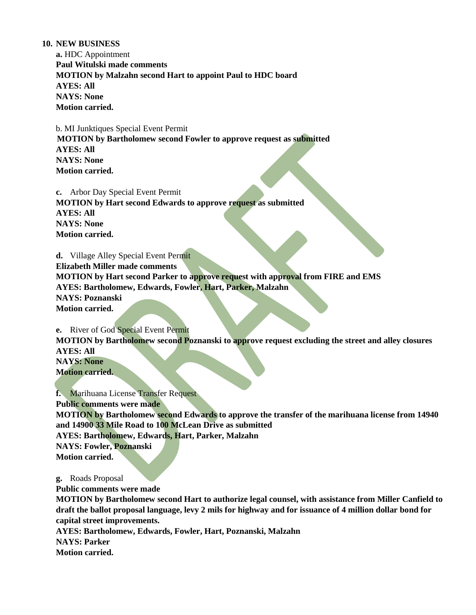#### **10. NEW BUSINESS**

**a.** HDC Appointment **Paul Witulski made comments MOTION by Malzahn second Hart to appoint Paul to HDC board AYES: All NAYS: None Motion carried.**

 b. MI Junktiques Special Event Permit **MOTION by Bartholomew second Fowler to approve request as submitted AYES: All NAYS: None Motion carried.**

**c.** Arbor Day Special Event Permit **MOTION by Hart second Edwards to approve request as submitted AYES: All NAYS: None Motion carried.**

**d.** Village Alley Special Event Permit **Elizabeth Miller made comments MOTION by Hart second Parker to approve request with approval from FIRE and EMS AYES: Bartholomew, Edwards, Fowler, Hart, Parker, Malzahn NAYS: Poznanski Motion carried.**

**e.** River of God Special Event Permit **MOTION by Bartholomew second Poznanski to approve request excluding the street and alley closures AYES: All NAYS: None Motion carried.**

**f.** Marihuana License Transfer Request **Public comments were made MOTION by Bartholomew second Edwards to approve the transfer of the marihuana license from 14940 and 14900 33 Mile Road to 100 McLean Drive as submitted AYES: Bartholomew, Edwards, Hart, Parker, Malzahn NAYS: Fowler, Poznanski Motion carried.**

**g.** Roads Proposal

**Public comments were made**

**MOTION by Bartholomew second Hart to authorize legal counsel, with assistance from Miller Canfield to draft the ballot proposal language, levy 2 mils for highway and for issuance of 4 million dollar bond for capital street improvements.** 

**AYES: Bartholomew, Edwards, Fowler, Hart, Poznanski, Malzahn**

**NAYS: Parker**

**Motion carried.**